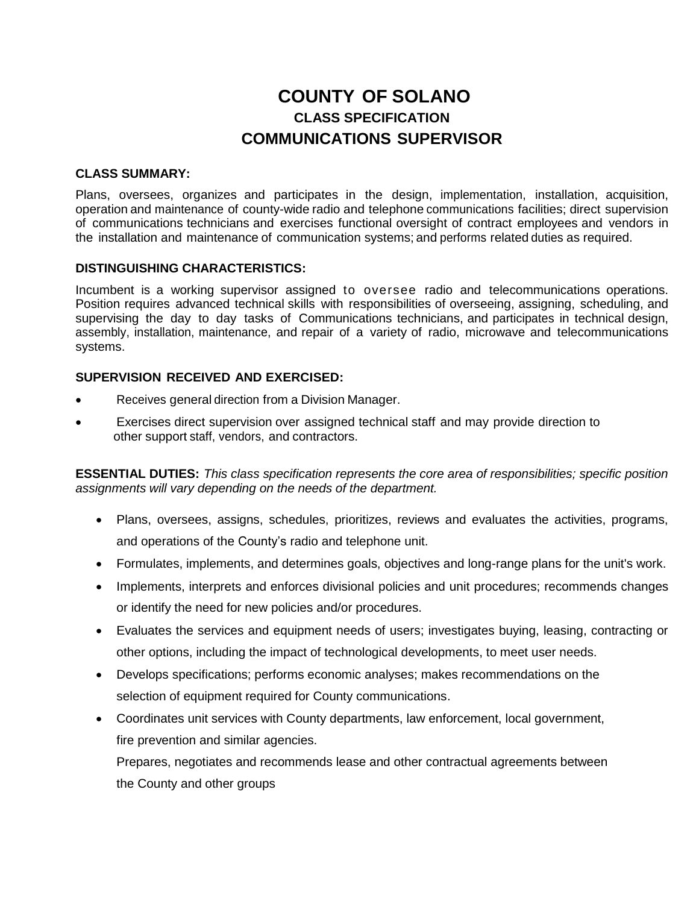# **COUNTY OF SOLANO CLASS SPECIFICATION COMMUNICATIONS SUPERVISOR**

## **CLASS SUMMARY:**

Plans, oversees, organizes and participates in the design, implementation, installation, acquisition, operation and maintenance of county-wide radio and telephone communications facilities; direct supervision of communications technicians and exercises functional oversight of contract employees and vendors in the installation and maintenance of communication systems; and performs related duties as required.

#### **DISTINGUISHING CHARACTERISTICS:**

Incumbent is a working supervisor assigned to oversee radio and telecommunications operations. Position requires advanced technical skills with responsibilities of overseeing, assigning, scheduling, and supervising the day to day tasks of Communications technicians, and participates in technical design, assembly, installation, maintenance, and repair of a variety of radio, microwave and telecommunications systems.

#### **SUPERVISION RECEIVED AND EXERCISED:**

- Receives general direction from a Division Manager.
- Exercises direct supervision over assigned technical staff and may provide direction to other support staff, vendors, and contractors.

**ESSENTIAL DUTIES:** *This class specification represents the core area of responsibilities; specific position assignments will vary depending on the needs of the department.*

- Plans, oversees, assigns, schedules, prioritizes, reviews and evaluates the activities, programs, and operations of the County's radio and telephone unit.
- Formulates, implements, and determines goals, objectives and long-range plans for the unit's work.
- Implements, interprets and enforces divisional policies and unit procedures; recommends changes or identify the need for new policies and/or procedures.
- Evaluates the services and equipment needs of users; investigates buying, leasing, contracting or other options, including the impact of technological developments, to meet user needs.
- Develops specifications; performs economic analyses; makes recommendations on the selection of equipment required for County communications.
- Coordinates unit services with County departments, law enforcement, local government, fire prevention and similar agencies.

Prepares, negotiates and recommends lease and other contractual agreements between the County and other groups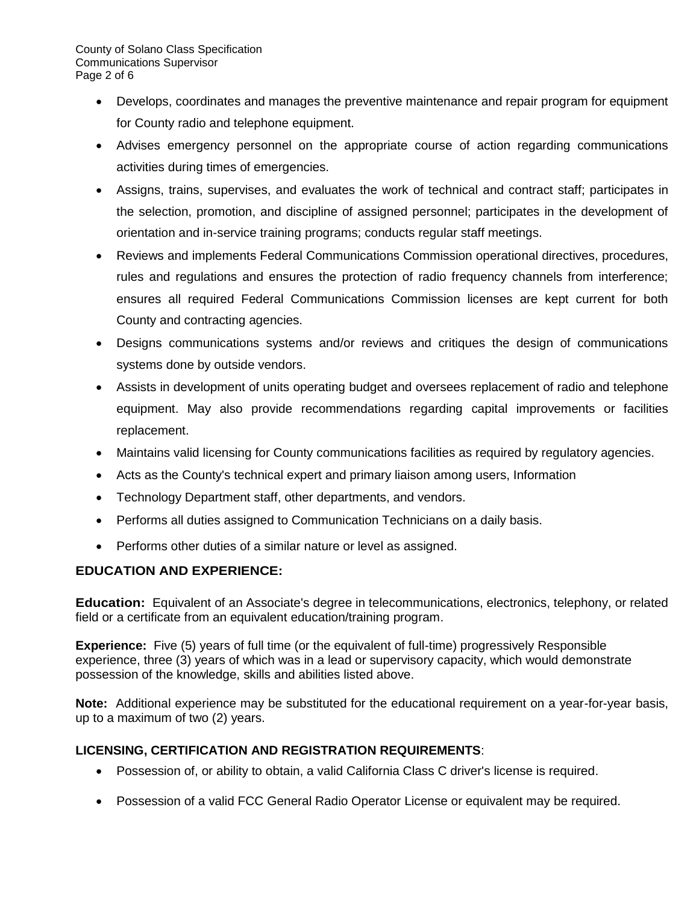- Develops, coordinates and manages the preventive maintenance and repair program for equipment for County radio and telephone equipment.
- Advises emergency personnel on the appropriate course of action regarding communications activities during times of emergencies.
- Assigns, trains, supervises, and evaluates the work of technical and contract staff; participates in the selection, promotion, and discipline of assigned personnel; participates in the development of orientation and in-service training programs; conducts regular staff meetings.
- Reviews and implements Federal Communications Commission operational directives, procedures, rules and regulations and ensures the protection of radio frequency channels from interference; ensures all required Federal Communications Commission licenses are kept current for both County and contracting agencies.
- Designs communications systems and/or reviews and critiques the design of communications systems done by outside vendors.
- Assists in development of units operating budget and oversees replacement of radio and telephone equipment. May also provide recommendations regarding capital improvements or facilities replacement.
- Maintains valid licensing for County communications facilities as required by regulatory agencies.
- Acts as the County's technical expert and primary liaison among users, Information
- Technology Department staff, other departments, and vendors.
- Performs all duties assigned to Communication Technicians on a daily basis.
- Performs other duties of a similar nature or level as assigned.

# **EDUCATION AND EXPERIENCE:**

**Education:** Equivalent of an Associate's degree in telecommunications, electronics, telephony, or related field or a certificate from an equivalent education/training program.

**Experience:** Five (5) years of full time (or the equivalent of full-time) progressively Responsible experience, three (3) years of which was in a lead or supervisory capacity, which would demonstrate possession of the knowledge, skills and abilities listed above.

**Note:** Additional experience may be substituted for the educational requirement on a year-for-year basis, up to a maximum of two (2) years.

# **LICENSING, CERTIFICATION AND REGISTRATION REQUIREMENTS**:

- Possession of, or ability to obtain, a valid California Class C driver's license is required.
- Possession of a valid FCC General Radio Operator License or equivalent may be required.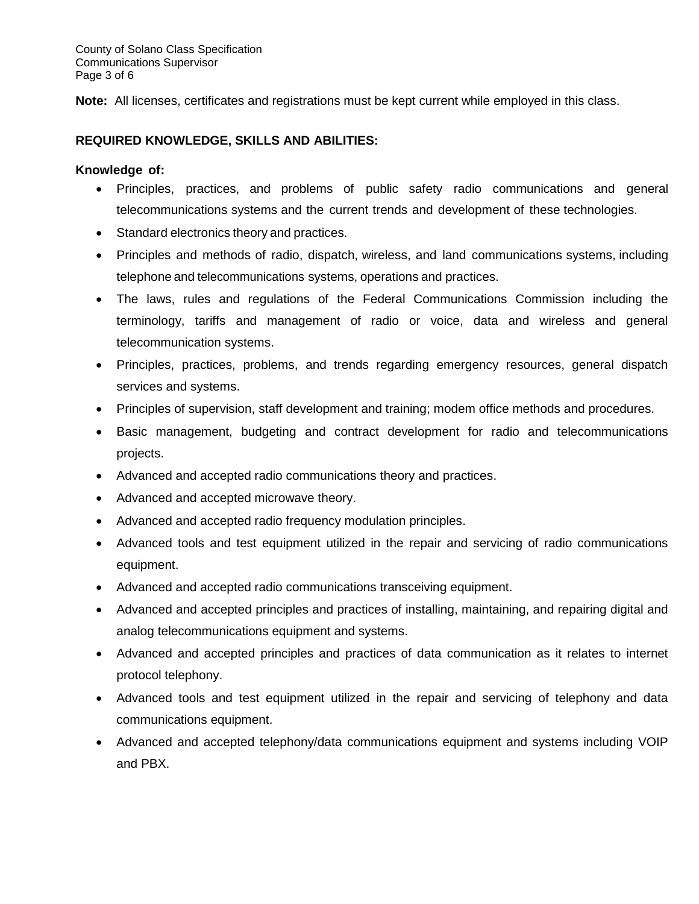County of Solano Class Specification Communications Supervisor Page 3 of 6

**Note:** All licenses, certificates and registrations must be kept current while employed in this class.

## **REQUIRED KNOWLEDGE, SKILLS AND ABILITIES:**

#### **Knowledge of:**

- Principles, practices, and problems of public safety radio communications and general telecommunications systems and the current trends and development of these technologies.
- Standard electronics theory and practices.
- Principles and methods of radio, dispatch, wireless, and land communications systems, including telephone and telecommunications systems, operations and practices.
- The laws, rules and regulations of the Federal Communications Commission including the terminology, tariffs and management of radio or voice, data and wireless and general telecommunication systems.
- Principles, practices, problems, and trends regarding emergency resources, general dispatch services and systems.
- Principles of supervision, staff development and training; modem office methods and procedures.
- Basic management, budgeting and contract development for radio and telecommunications projects.
- Advanced and accepted radio communications theory and practices.
- Advanced and accepted microwave theory.
- Advanced and accepted radio frequency modulation principles.
- Advanced tools and test equipment utilized in the repair and servicing of radio communications equipment.
- Advanced and accepted radio communications transceiving equipment.
- Advanced and accepted principles and practices of installing, maintaining, and repairing digital and analog telecommunications equipment and systems.
- Advanced and accepted principles and practices of data communication as it relates to internet protocol telephony.
- Advanced tools and test equipment utilized in the repair and servicing of telephony and data communications equipment.
- Advanced and accepted telephony/data communications equipment and systems including VOIP and PBX.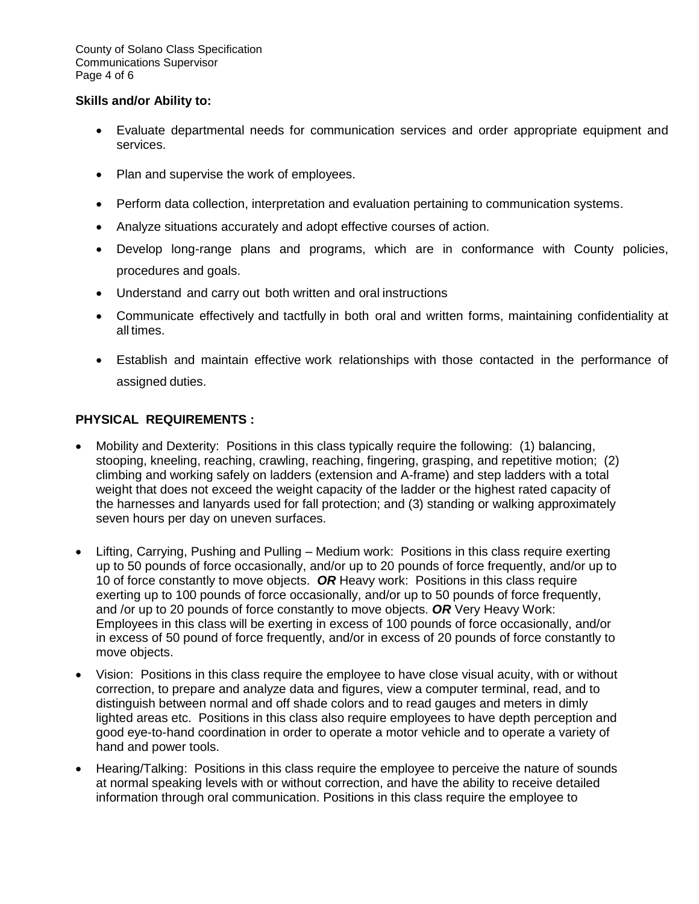#### **Skills and/or Ability to:**

- Evaluate departmental needs for communication services and order appropriate equipment and services.
- Plan and supervise the work of employees.
- Perform data collection, interpretation and evaluation pertaining to communication systems.
- Analyze situations accurately and adopt effective courses of action.
- Develop long-range plans and programs, which are in conformance with County policies, procedures and goals.
- Understand and carry out both written and oral instructions
- Communicate effectively and tactfully in both oral and written forms, maintaining confidentiality at all times.
- Establish and maintain effective work relationships with those contacted in the performance of assigned duties.

## **PHYSICAL REQUIREMENTS :**

- Mobility and Dexterity: Positions in this class typically require the following: (1) balancing, stooping, kneeling, reaching, crawling, reaching, fingering, grasping, and repetitive motion; (2) climbing and working safely on ladders (extension and A-frame) and step ladders with a total weight that does not exceed the weight capacity of the ladder or the highest rated capacity of the harnesses and lanyards used for fall protection; and (3) standing or walking approximately seven hours per day on uneven surfaces.
- Lifting, Carrying, Pushing and Pulling Medium work: Positions in this class require exerting up to 50 pounds of force occasionally, and/or up to 20 pounds of force frequently, and/or up to 10 of force constantly to move objects. *OR* Heavy work: Positions in this class require exerting up to 100 pounds of force occasionally, and/or up to 50 pounds of force frequently, and /or up to 20 pounds of force constantly to move objects. *OR* Very Heavy Work: Employees in this class will be exerting in excess of 100 pounds of force occasionally, and/or in excess of 50 pound of force frequently, and/or in excess of 20 pounds of force constantly to move objects.
- Vision: Positions in this class require the employee to have close visual acuity, with or without correction, to prepare and analyze data and figures, view a computer terminal, read, and to distinguish between normal and off shade colors and to read gauges and meters in dimly lighted areas etc. Positions in this class also require employees to have depth perception and good eye-to-hand coordination in order to operate a motor vehicle and to operate a variety of hand and power tools.
- Hearing/Talking: Positions in this class require the employee to perceive the nature of sounds at normal speaking levels with or without correction, and have the ability to receive detailed information through oral communication. Positions in this class require the employee to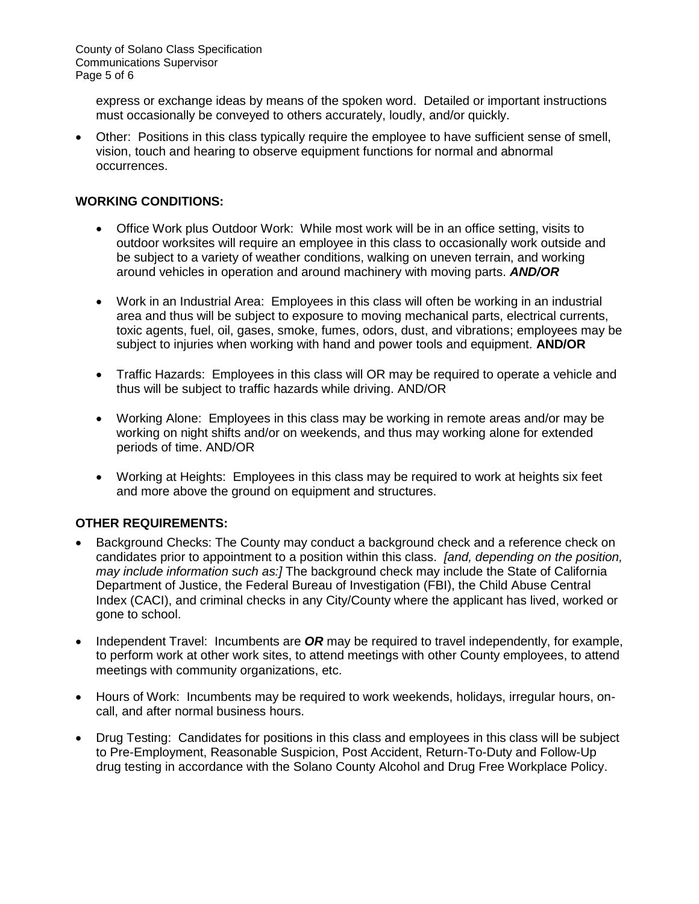express or exchange ideas by means of the spoken word. Detailed or important instructions must occasionally be conveyed to others accurately, loudly, and/or quickly.

 Other: Positions in this class typically require the employee to have sufficient sense of smell, vision, touch and hearing to observe equipment functions for normal and abnormal occurrences.

## **WORKING CONDITIONS:**

- Office Work plus Outdoor Work: While most work will be in an office setting, visits to outdoor worksites will require an employee in this class to occasionally work outside and be subject to a variety of weather conditions, walking on uneven terrain, and working around vehicles in operation and around machinery with moving parts. *AND/OR*
- Work in an Industrial Area: Employees in this class will often be working in an industrial area and thus will be subject to exposure to moving mechanical parts, electrical currents, toxic agents, fuel, oil, gases, smoke, fumes, odors, dust, and vibrations; employees may be subject to injuries when working with hand and power tools and equipment. **AND/OR**
- Traffic Hazards: Employees in this class will OR may be required to operate a vehicle and thus will be subject to traffic hazards while driving. AND/OR
- Working Alone: Employees in this class may be working in remote areas and/or may be working on night shifts and/or on weekends, and thus may working alone for extended periods of time. AND/OR
- Working at Heights: Employees in this class may be required to work at heights six feet and more above the ground on equipment and structures.

# **OTHER REQUIREMENTS:**

- Background Checks: The County may conduct a background check and a reference check on candidates prior to appointment to a position within this class. *[and, depending on the position, may include information such as:]* The background check may include the State of California Department of Justice, the Federal Bureau of Investigation (FBI), the Child Abuse Central Index (CACI), and criminal checks in any City/County where the applicant has lived, worked or gone to school.
- Independent Travel: Incumbents are **OR** may be required to travel independently, for example, to perform work at other work sites, to attend meetings with other County employees, to attend meetings with community organizations, etc.
- Hours of Work: Incumbents may be required to work weekends, holidays, irregular hours, oncall, and after normal business hours.
- Drug Testing: Candidates for positions in this class and employees in this class will be subject to Pre-Employment, Reasonable Suspicion, Post Accident, Return-To-Duty and Follow-Up drug testing in accordance with the Solano County Alcohol and Drug Free Workplace Policy.